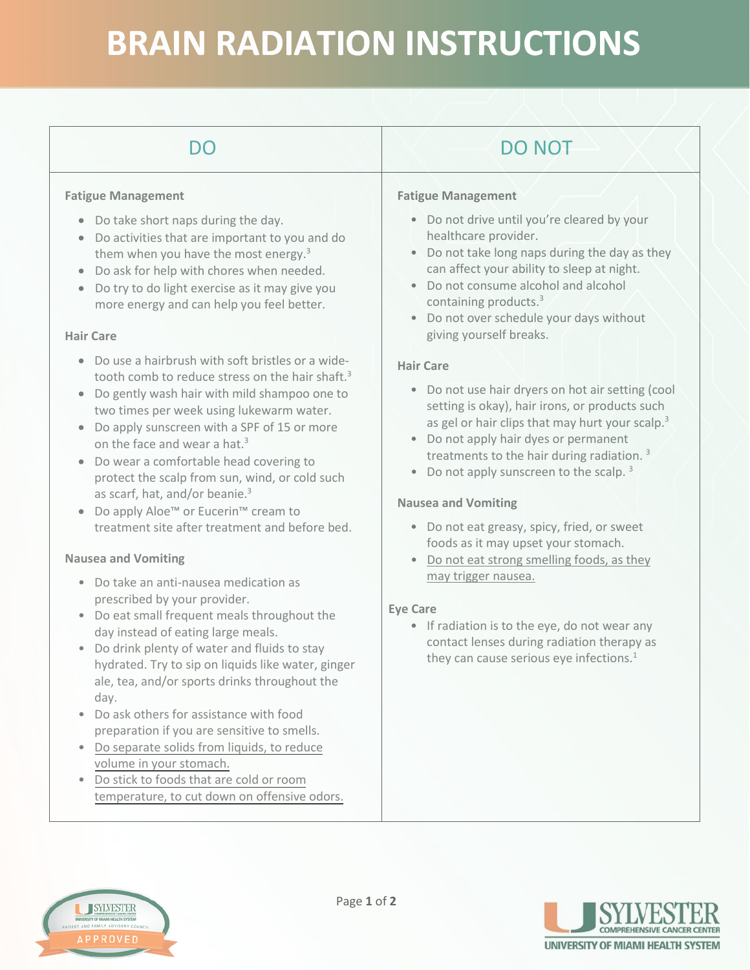## **BRAIN RADIATION INSTRUCTIONS**

| DO                                                                                                                                                                                                                                                                                                                                                                                                                                                                                                                                                                                                                                                                                                                           | <b>DO NOT</b>                                                                                                                                                                                                                                                                                                                                                                                                                                                                                                                                                                                                                                           |
|------------------------------------------------------------------------------------------------------------------------------------------------------------------------------------------------------------------------------------------------------------------------------------------------------------------------------------------------------------------------------------------------------------------------------------------------------------------------------------------------------------------------------------------------------------------------------------------------------------------------------------------------------------------------------------------------------------------------------|---------------------------------------------------------------------------------------------------------------------------------------------------------------------------------------------------------------------------------------------------------------------------------------------------------------------------------------------------------------------------------------------------------------------------------------------------------------------------------------------------------------------------------------------------------------------------------------------------------------------------------------------------------|
| <b>Fatigue Management</b><br>Do take short naps during the day.<br>$\bullet$<br>Do activities that are important to you and do<br>$\bullet$<br>them when you have the most energy. <sup>3</sup><br>Do ask for help with chores when needed.<br>$\bullet$<br>Do try to do light exercise as it may give you<br>$\bullet$<br>more energy and can help you feel better.<br><b>Hair Care</b><br>Do use a hairbrush with soft bristles or a wide-<br>$\bullet$<br>tooth comb to reduce stress on the hair shaft. <sup>3</sup><br>Do gently wash hair with mild shampoo one to<br>two times per week using lukewarm water.<br>Do apply sunscreen with a SPF of 15 or more<br>$\bullet$<br>on the face and wear a hat. <sup>3</sup> | <b>Fatigue Management</b><br>• Do not drive until you're cleared by your<br>healthcare provider.<br>Do not take long naps during the day as they<br>can affect your ability to sleep at night.<br>Do not consume alcohol and alcohol<br>containing products. $3$<br>Do not over schedule your days without<br>$\bullet$<br>giving yourself breaks.<br><b>Hair Care</b><br>Do not use hair dryers on hot air setting (cool<br>$\bullet$<br>setting is okay), hair irons, or products such<br>as gel or hair clips that may hurt your scalp. <sup>3</sup><br>Do not apply hair dyes or permanent<br>treatments to the hair during radiation. <sup>3</sup> |
| Do wear a comfortable head covering to<br>$\bullet$<br>protect the scalp from sun, wind, or cold such<br>as scarf, hat, and/or beanie. <sup>3</sup><br>Do apply Aloe <sup>™</sup> or Eucerin <sup>™</sup> cream to<br>treatment site after treatment and before bed.<br><b>Nausea and Vomiting</b>                                                                                                                                                                                                                                                                                                                                                                                                                           | Do not apply sunscreen to the scalp. <sup>3</sup><br><b>Nausea and Vomiting</b><br>• Do not eat greasy, spicy, fried, or sweet<br>foods as it may upset your stomach.<br>Do not eat strong smelling foods, as they                                                                                                                                                                                                                                                                                                                                                                                                                                      |
| • Do take an anti-nausea medication as<br>prescribed by your provider.<br>Do eat small frequent meals throughout the<br>$\bullet$<br>day instead of eating large meals.<br>Do drink plenty of water and fluids to stay<br>$\bullet$<br>hydrated. Try to sip on liquids like water, ginger<br>ale, tea, and/or sports drinks throughout the                                                                                                                                                                                                                                                                                                                                                                                   | may trigger nausea.<br><b>Eye Care</b><br>• If radiation is to the eye, do not wear any<br>contact lenses during radiation therapy as<br>they can cause serious eye infections. <sup>1</sup>                                                                                                                                                                                                                                                                                                                                                                                                                                                            |
| day.<br>Do ask others for assistance with food<br>preparation if you are sensitive to smells.<br>Do separate solids from liquids, to reduce<br>volume in your stomach.<br>Do stick to foods that are cold or room<br>temperature, to cut down on offensive odors.                                                                                                                                                                                                                                                                                                                                                                                                                                                            |                                                                                                                                                                                                                                                                                                                                                                                                                                                                                                                                                                                                                                                         |



SYLVESTER

**UNIVERSITY OF MIAMI HEALTH SYSTEM**<br>NT AND FAMILY ADVISORY COUN

**APPROVED**